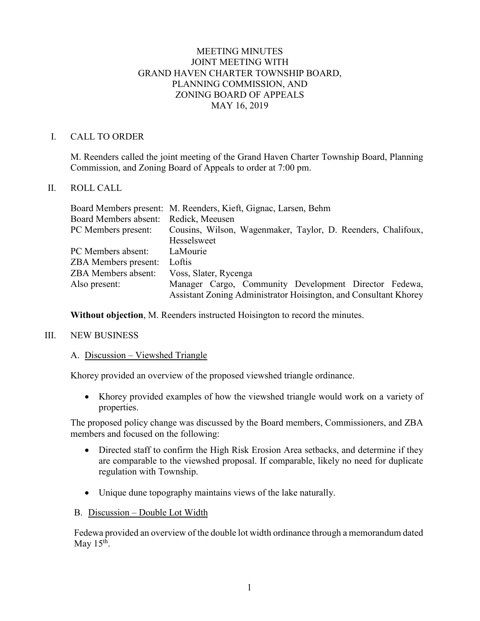# MEETING MINUTES JOINT MEETING WITH GRAND HAVEN CHARTER TOWNSHIP BOARD, PLANNING COMMISSION, AND ZONING BOARD OF APPEALS MAY 16, 2019

### I. CALL TO ORDER

M. Reenders called the joint meeting of the Grand Haven Charter Township Board, Planning Commission, and Zoning Board of Appeals to order at 7:00 pm.

# II. ROLL CALL

|                              | Board Members present: M. Reenders, Kieft, Gignac, Larsen, Behm  |
|------------------------------|------------------------------------------------------------------|
| <b>Board Members absent:</b> | Redick, Meeusen                                                  |
| PC Members present:          | Cousins, Wilson, Wagenmaker, Taylor, D. Reenders, Chalifoux,     |
|                              | Hesselsweet                                                      |
| PC Members absent:           | LaMourie                                                         |
| <b>ZBA Members present:</b>  | Loftis                                                           |
| <b>ZBA Members absent:</b>   | Voss, Slater, Rycenga                                            |
| Also present:                | Manager Cargo, Community Development Director Fedewa,            |
|                              | Assistant Zoning Administrator Hoisington, and Consultant Khorey |

**Without objection**, M. Reenders instructed Hoisington to record the minutes.

#### III. NEW BUSINESS

#### A. Discussion – Viewshed Triangle

Khorey provided an overview of the proposed viewshed triangle ordinance.

• Khorey provided examples of how the viewshed triangle would work on a variety of properties.

The proposed policy change was discussed by the Board members, Commissioners, and ZBA members and focused on the following:

- Directed staff to confirm the High Risk Erosion Area setbacks, and determine if they are comparable to the viewshed proposal. If comparable, likely no need for duplicate regulation with Township.
- Unique dune topography maintains views of the lake naturally.
- B. Discussion Double Lot Width

Fedewa provided an overview of the double lot width ordinance through a memorandum dated May  $15<sup>th</sup>$ .